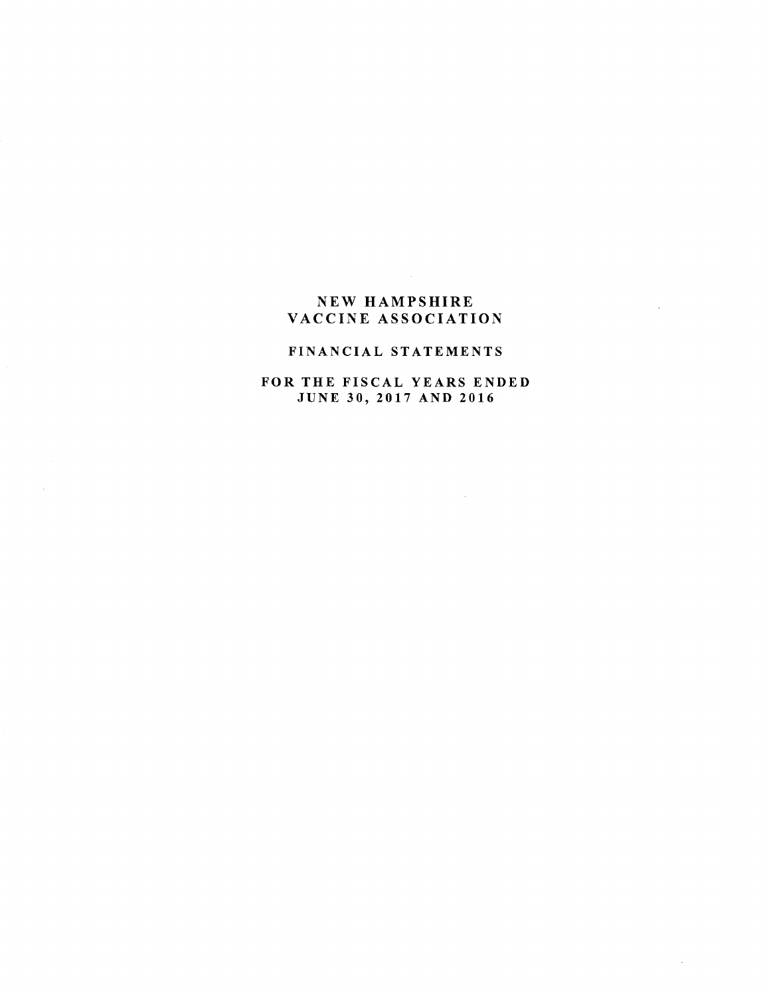# NEW HAMPSHIRE VACCINE ASSOCIATION

 $\sim 10$ 

## FINANCIAL STATEMENTS

# FOR THE FISCAL YEARS ENDED JUNE 30, 2017 AND <sup>2016</sup>

 $\sim 10^{-10}$ 

 $\sim$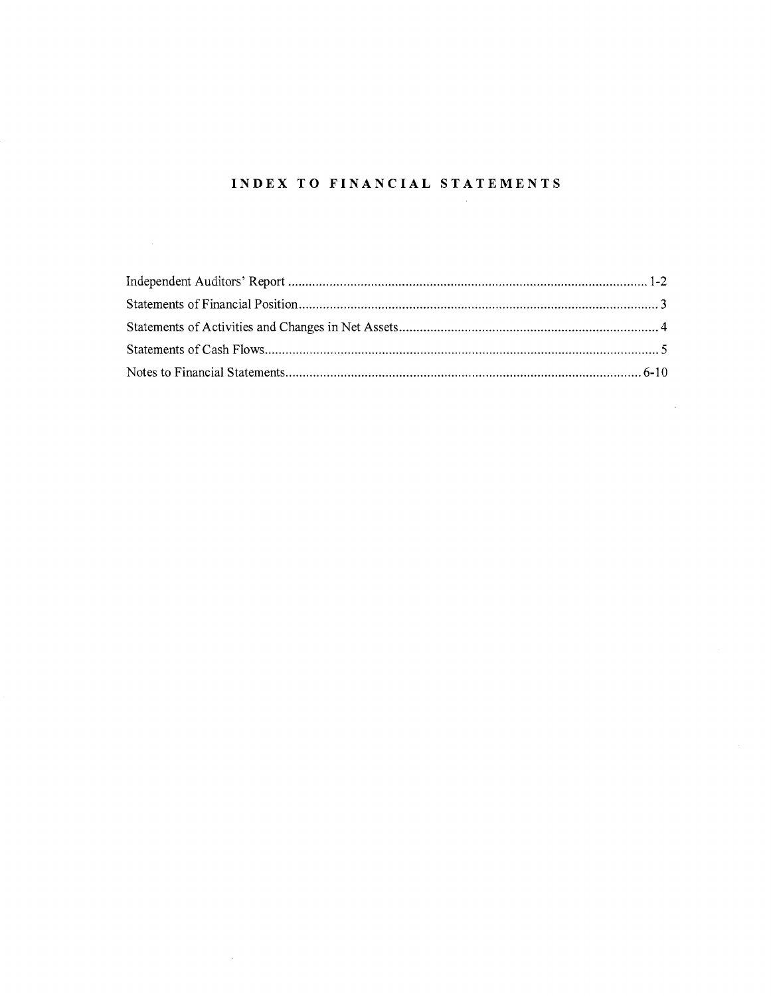# INDEX TO FINANCIAL STATEMENTS

 $\mathcal{L}$ 

 $\mathcal{A}$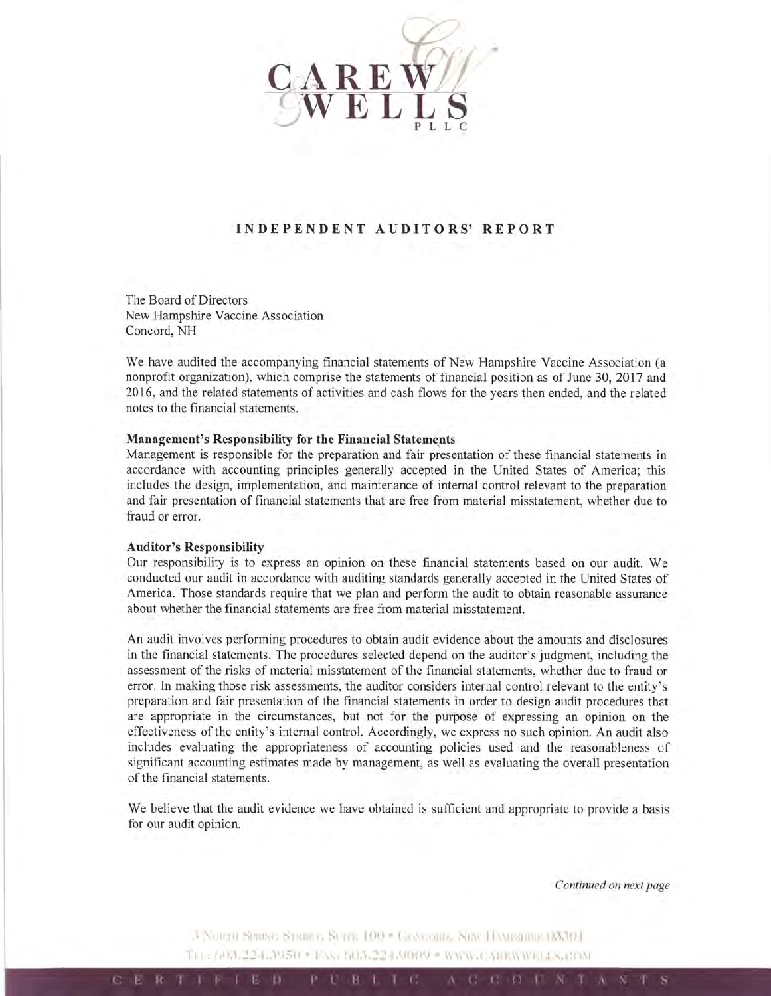

## INDEPENDENT AUDITORS' REPORT

The Board of Directors New Hampshire Vaccine Association Concord, NH

We have audited the accompanying financial statements of New Hampshire Vaccine Association (a nonprofit organization), which comprise the statements of financial position as of June 30, 2017 and 2016, and the related statements of activities and cash flows for the years then ended, and the related notes to the financial statements.

#### Management's Responsibility for the Financial Statements

Management is responsible for the preparation and fair presentation of these financial statements in accordance with accounting principles generally accepted in the United States of America; this includes the design, implementation, and maintenance of internal control relevant to the preparation and fair presentation of financial statements that are free from material misstatement, whether due to fraud or error.

#### Auditor's Responsibility

Our responsibility is to express an opinion on these financial statements based on our audit. We conducted our audit in accordance with auditing standards generally accepted in the United States of America. Those standards require that we plan and perform the audit to obtain reasonable assurance about whether the financial statements are free from material misstatement.

An audit involves performing procedures to obtain audit evidence about the amounts and disclosures in the financial statements. The procedures selected depend on the auditor's judgment, including the assessment of the risks of material misstatement of the financial statements, whether due to fraud or error. In making those risk assessments, the auditor considers internal control relevant to the entity's preparation and fair presentation of the financial statements in order to design audit procedures that are appropriate in the circumstances, but not for the purpose of expressing an opinion on the effectiveness of the entity's internal control. Accordingly, we express no such opinion. An audit also includes evaluating the appropriateness of accounting policies used and the reasonableness of significant accounting estimates made by management, as well as evaluating the overall presentation of the financial statements.

We believe that the audit evidence we have obtained is sufficient and appropriate to provide a basis for our audit opinion.

Cominued on next page

A NORTH SPRING STRIKE, SETTE 100 = CONCORD, NEW HAMPGHIP 03301 TEL: 603.224.3950 · FAX: 603.224.9009 · WIPB-CARRWWELLS, COM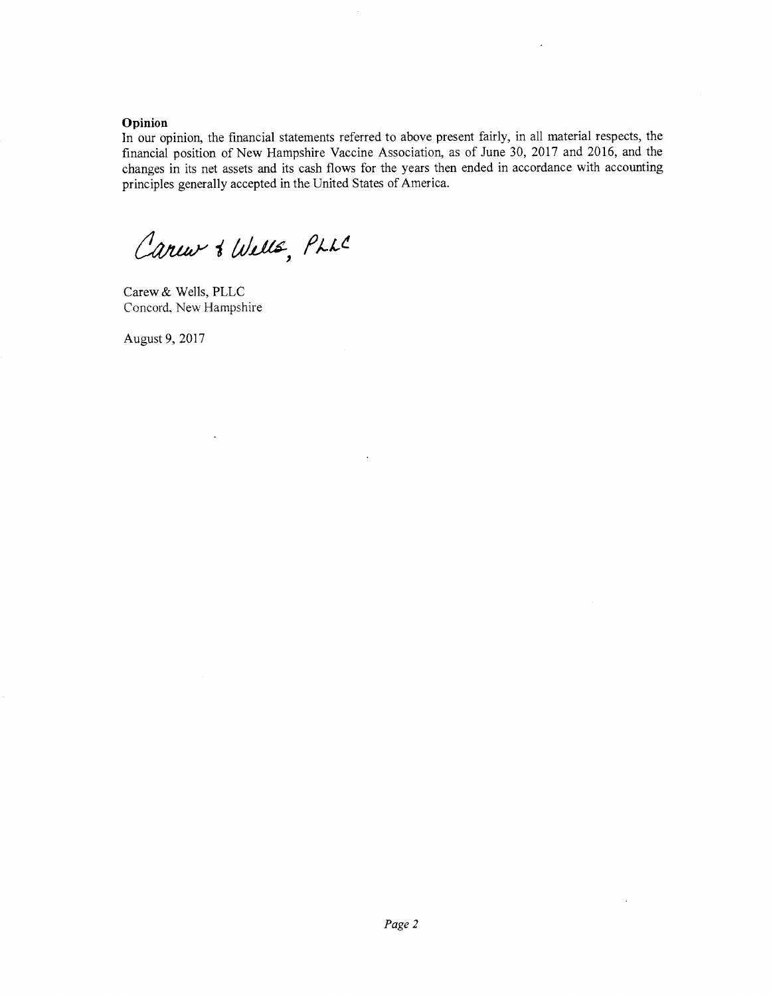#### Opinion

In our opinion, the financial statements referred to above present fairly, in all material respects, the financial position of New Hampshire Vaccine Association, as of June 30, 2017 and 2016, and the changes in its net assets and its cash flows for the years then ended in accordance with accounting principles generally accepted in the United States of America.

 $\bar{a}$ 

Careur & Wells, PLLC

Carew & Wells, PLLC Concord. New Hampshire

 $\ddot{\phantom{0}}$ 

August 9, 2017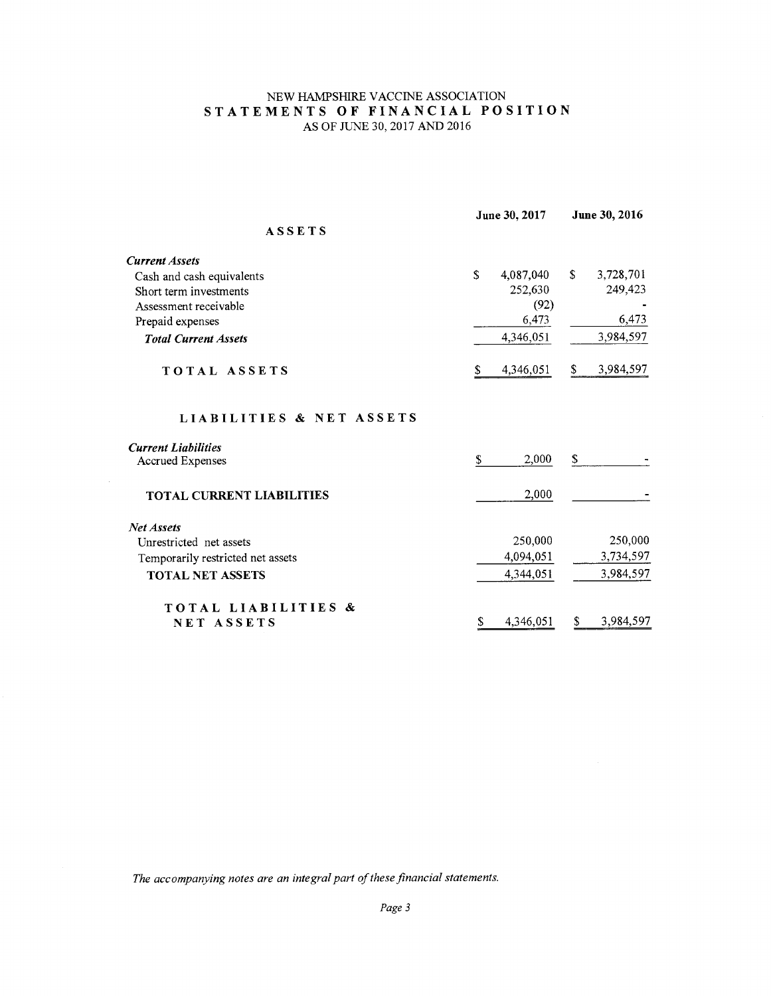# NEW HAMPSHIRE VACCINE ASSOCIATION STATEMENTS OF FINANCIAL POSITION AS OF JUNE 30, 2017 AND 2016

|                                   |    | June 30, 2017 |    | June 30, 2016 |  |
|-----------------------------------|----|---------------|----|---------------|--|
| <b>ASSETS</b>                     |    |               |    |               |  |
| <b>Current Assets</b>             |    |               |    |               |  |
| Cash and cash equivalents         | \$ | 4,087,040     | S. | 3,728,701     |  |
| Short term investments            |    | 252,630       |    | 249,423       |  |
| Assessment receivable             |    | (92)          |    |               |  |
| Prepaid expenses                  |    | 6,473         |    | 6,473         |  |
| <b>Total Current Assets</b>       |    | 4,346,051     |    | 3,984,597     |  |
| TOTAL ASSETS                      | S. | 4,346,051     | S. | 3,984,597     |  |
| LIABILITIES & NET ASSETS          |    |               |    |               |  |
| <b>Current Liabilities</b>        |    |               |    |               |  |
| <b>Accrued Expenses</b>           | \$ | 2,000         | \$ |               |  |
| <b>TOTAL CURRENT LIABILITIES</b>  |    | 2,000         |    |               |  |
| <b>Net Assets</b>                 |    |               |    |               |  |
| Unrestricted net assets           |    | 250,000       |    | 250,000       |  |
| Temporarily restricted net assets |    | 4,094,051     |    | 3,734,597     |  |
| <b>TOTAL NET ASSETS</b>           |    | 4,344,051     |    | 3,984,597     |  |
| TOTAL LIABILITIES &               |    |               |    |               |  |
| NET ASSETS                        | \$ | 4,346,051     | S  | 3,984,597     |  |

The accompanying notes are an integral part of these financial statements.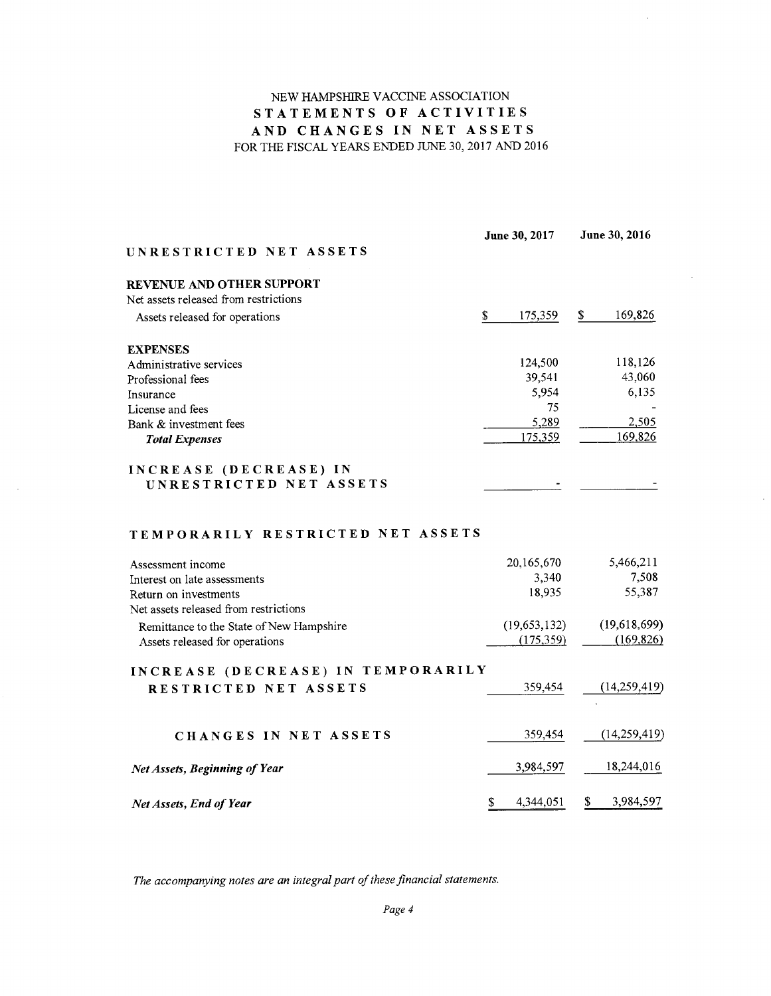# NEW HAMPSHIRE VACCINE ASSOCIATION<br>STATEMENTS OF ACTIVITIES<br>AND CHANGES IN NET ASSETS FOR THE FISCAL YEARS ENDED IUNE 30, 2017 AND <sup>2016</sup>

 $\bar{z}$ 

| UNRESTRICTED NET ASSETS               | June 30, 2017 |         | June 30, 2016 |         |
|---------------------------------------|---------------|---------|---------------|---------|
| REVENUE AND OTHER SUPPORT             |               |         |               |         |
| Net assets released from restrictions |               |         |               |         |
| Assets released for operations        | \$            | 175,359 | \$            | 169,826 |
| <b>EXPENSES</b>                       |               |         |               |         |
| Administrative services               |               | 124,500 |               | 118,126 |
| Professional fees                     |               | 39,541  |               | 43,060  |
| Insurance                             |               | 5,954   |               | 6,135   |
| License and fees                      |               | 75      |               |         |
| Bank & investment fees                |               | 5,289   |               | 2,505   |
| <b>Total Expenses</b>                 |               | 175,359 |               | 169,826 |
| INCREASE (DECREASE) IN                |               |         |               |         |
| UNRESTRICTED NET ASSETS               |               |         |               |         |

### TEMPORARILY RESTRICTED NET ASSETS

| Assessment income                        | 20, 165, 670 | 5,466,211      |
|------------------------------------------|--------------|----------------|
| Interest on late assessments             | 3,340        | 7,508          |
| Return on investments                    | 18,935       | 55,387         |
| Net assets released from restrictions    |              |                |
| Remittance to the State of New Hampshire | (19,653,132) | (19,618,699)   |
| Assets released for operations           | (175, 359)   | (169, 826)     |
| INCREASE (DECREASE) IN TEMPORARILY       |              |                |
| RESTRICTED NET ASSETS                    | 359,454      | (14,259,419)   |
|                                          |              |                |
| CHANGES IN NET ASSETS                    | 359,454      | (14, 259, 419) |
| <b>Net Assets, Beginning of Year</b>     | 3,984,597    | 18,244,016     |
| <b>Net Assets, End of Year</b>           | 4,344,051    | 3,984,597      |

The accompanying notes are an integral part of these financial statements.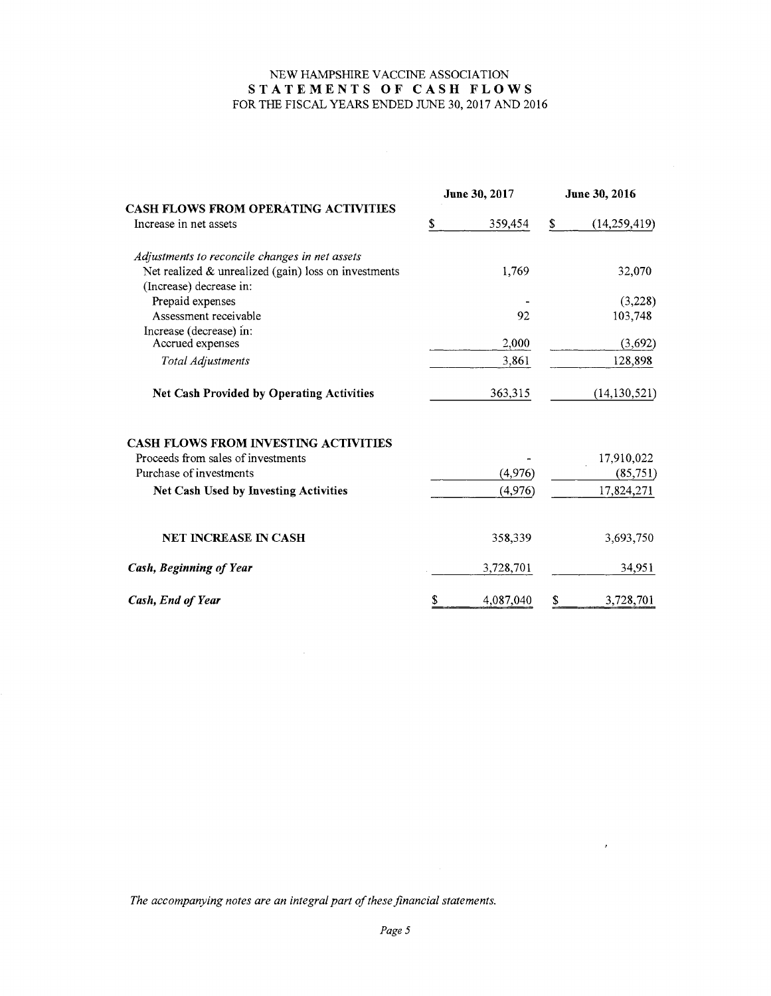# NEW HAMPSHIRE VACCINE ASSOCIATION STATEMENTS OF CASH FLOWS FOR THE FISCAL YEARS ENDED JUNE 30, 2017 AND <sup>2016</sup>

|                                                                       |   | June 30, 2017 | June 30, 2016 |                |  |
|-----------------------------------------------------------------------|---|---------------|---------------|----------------|--|
| <b>CASH FLOWS FROM OPERATING ACTIVITIES</b><br>Increase in net assets | S | 359,454       | \$            | (14, 259, 419) |  |
| Adjustments to reconcile changes in net assets                        |   |               |               |                |  |
| Net realized $&$ unrealized (gain) loss on investments                |   | 1,769         |               | 32,070         |  |
| (Increase) decrease in:                                               |   |               |               |                |  |
| Prepaid expenses                                                      |   |               |               | (3,228)        |  |
| Assessment receivable                                                 |   | 92            |               | 103,748        |  |
| Increase (decrease) in:                                               |   |               |               |                |  |
| Accrued expenses                                                      |   | 2,000         |               | (3,692)        |  |
| Total Adjustments                                                     |   | 3,861         |               | 128,898        |  |
| Net Cash Provided by Operating Activities                             |   | 363,315       |               | (14, 130, 521) |  |
| <b>CASH FLOWS FROM INVESTING ACTIVITIES</b>                           |   |               |               |                |  |
| Proceeds from sales of investments                                    |   |               |               | 17,910,022     |  |
| Purchase of investments                                               |   | (4, 976)      |               | (85,751)       |  |
| Net Cash Used by Investing Activities                                 |   | (4,976)       |               | 17,824,271     |  |
| <b>NET INCREASE IN CASH</b>                                           |   |               |               |                |  |
|                                                                       |   | 358,339       |               | 3,693,750      |  |
| Cash, Beginning of Year                                               |   | 3,728,701     |               | 34,951         |  |
| Cash, End of Year                                                     |   | 4,087,040     | \$            | 3,728,701      |  |

The accompanying notes are an integral part of these financial statements.

 $\sim 10^{-1}$ 

 $\mathcal{F}^{\prime}$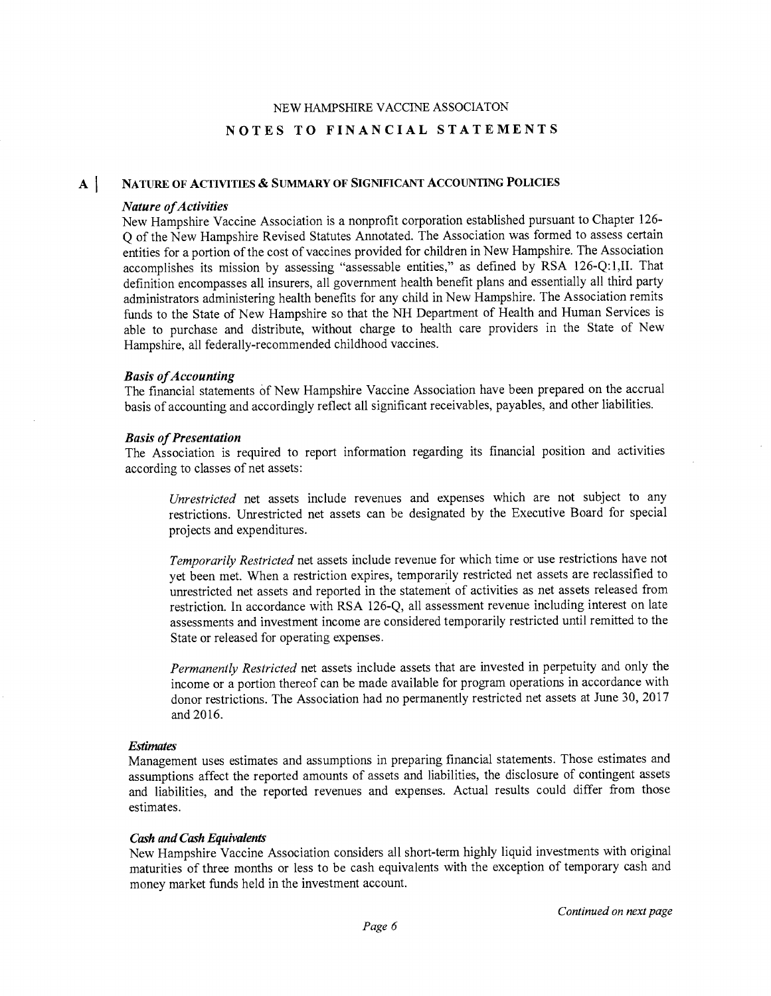#### NATURE OF ACTIVITIES & SUMMARY OF SIGNIFICANT ACCOUNTING POLICIES  $\mathbf{A}$

### Nature of Activities

New Hampshire Vaccine Association is a nonprofit corporation established pursuant to Chapter 126- Q of the New Hampshire Revised Statutes Annotated. The Association was formed to assess certain entities for a portion of the cost of vaccines provided for children in New Hampshire. The Association accomplishes its mission by assessing "assessable entities," as defined by RSA 126-Q:1,II. That definition encompasses all insurers, all government health benefit plans and essentially all third party administrators administering health benefits for any child in New Hampshire. The Association remits funds to the State of New Hampshire so that the NH Department of Health and Human Services is able to purchase and distribute, without charge to health care providers in the State of New Hampshire, all federally-recommended childhood vaccines.

### Basis of Accounting

The financial statements of New Hampshire Vaccine Association have been prepared on the accrual basis of accounting and accordingly reflect all significant receivables, payables, and other liabilities.

### Basis of Presentation

The Association is required to report information regarding its financial position and activities according to classes of net assets:

Unrestricted net assets include revenues and expenses which are not subject to any restrictions. Unrestricted net assets can be designated by the Executive Board for special projects and expenditures.

Temporarily Restricted net assets include revenue for which time or use restrictions have not yet been met. When a restriction expires, temporarily restricted net assets are reclassified to unrestricted net assets and reported in the statement of activities as net assets released from restriction. In accordance with RSA 126-Q, all assessment revenue including interest on late assessments and investment income are considered temporarily restricted until remitted to the State or released for operating expenses.

Permanently Restricted net assets include assets that are invested in perpetuity and only the income or a portion thereof can be made available for program operations in accordance with donor restrictions. The Association had no permanently restricted net assets at June 30, 2017 and 2016.

### **Estimates**

Management uses estimates and assumptions in preparing financial statements. Those estimates and assumptions affect the reported amounts of assets and liabilities, the disclosure of contingent assets and liabilities, and the reported revenues and expenses. Actual results could differ from those estimates.

### Cash and Cash Equivalents

New Hampshire Vaccine Association considers all short-term highly liquid investments with original maturities of three months or less to be cash equivalents with the exception of temporary cash and money market funds held in the investment account.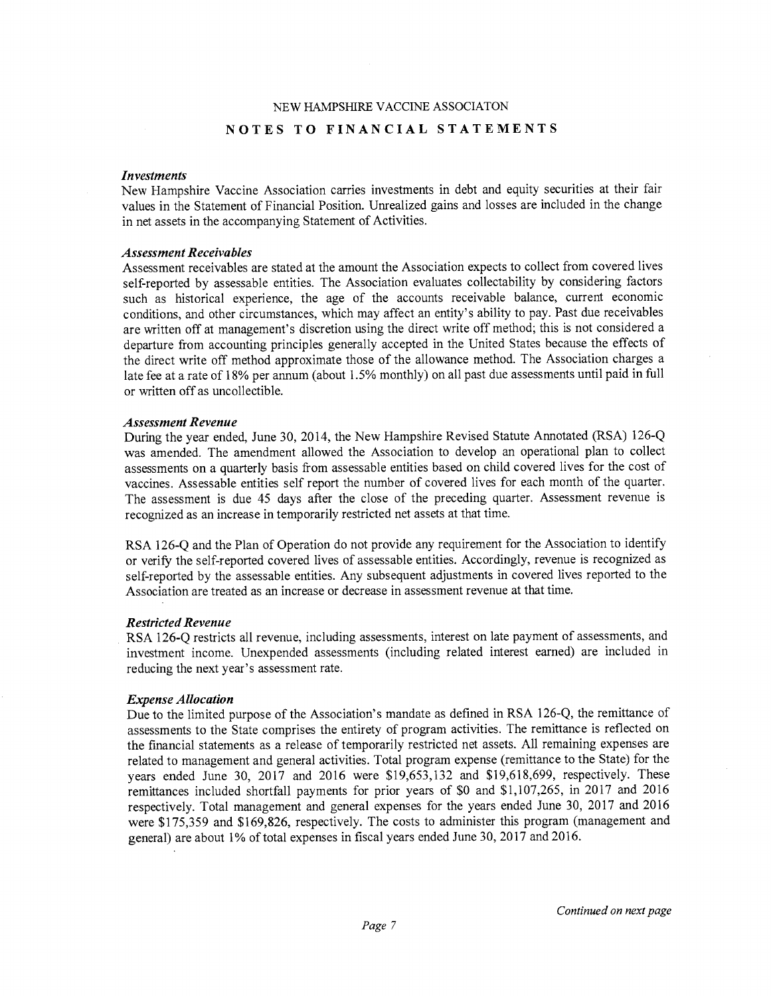#### Investments

New Hampshire Vaccine Association carries investments in debt and equity securities at their fair values in the Statement of Financial Position. Unrealized gains and losses are included in the change in net assets in the accompanying Statement of Activities.

#### Asxessment Receivables

Assessment receivables are stated at the amount the Association expects to collect from covered lives self-reported by assessable entities. The Association evaluates collectability by considering factors such as historical experience, the age of the accounts receivable balance, current economic conditions, and other circumstances, which may affect an entity's ability to pay. Past due receivables are written off at management's discretion using the direct write off method; this is not considered a departure from accounting principles generally accepted in the United States because the effects of the direct write off method approximate those of the allowance method. The Association charges a late fee at a rate of 18% per annum (about 1.5% monthly) on all past due assessments until paid in full or written off as uncollectible.

#### Assessment Revenue

During the year ended, June 30, 2014, the New Hampshire Revised Statute Annotated (RSA) 126-Q was amended. The amendment allowed the Association to develop an operational plan to collect assessments on a quarterly basis from assessable entities based on child covered lives for the cost of vaccines. Assessable entities self report the number of covered lives for each month of the quarter. The assessment is due 45 days after the close of the preceding quarter. Assessment revenue is recognized as an increase in temporarily restricted net assets at that time.

RSA 126-Q and the Plan of Operation do not provide any requirement for the Association to identify or verify the self-reported covered lives of assessable entities. Accordingly, revenue is recognized as self-reported by the assessable entities. Any subsequent adjustments in covered lives reported to the Association are treated as an increase or decrease in assessment revenue at that time.

#### Restricted Revenue

RSA 126-Q restricts all revenue, including assessments, interest on late payment of assessments, and investment income. Unexpended assessments (including related interest earned) are included in reducing the next year's assessment rate.

#### Expense Allocation

Due to the limited purpose of the Association's mandate as defined in RSA 126-Q, the remittance of assessments to the State comprises the entirety of program activities. The remittance is reflected on the financial statements as a release of temporarily restricted net assets. All remaining expenses are related to management and general activities. Total program expense (remittance to the State) for the years ended June 30, 2017 and 2016 were \$19,653,132 and \$19,618,699, respectively. These remittances included shortfall payments for prior years of \$0 and \$1,107,265, in 2017 and 2016 respectively. Total management and general expenses for the years ended June 30, 2017 and 2016 were \$175,359 and \$169,826, respectively. The costs to administer this program (management and general) are about 1% of total expenses in fiscal years ended June 30, 2017 and 2016.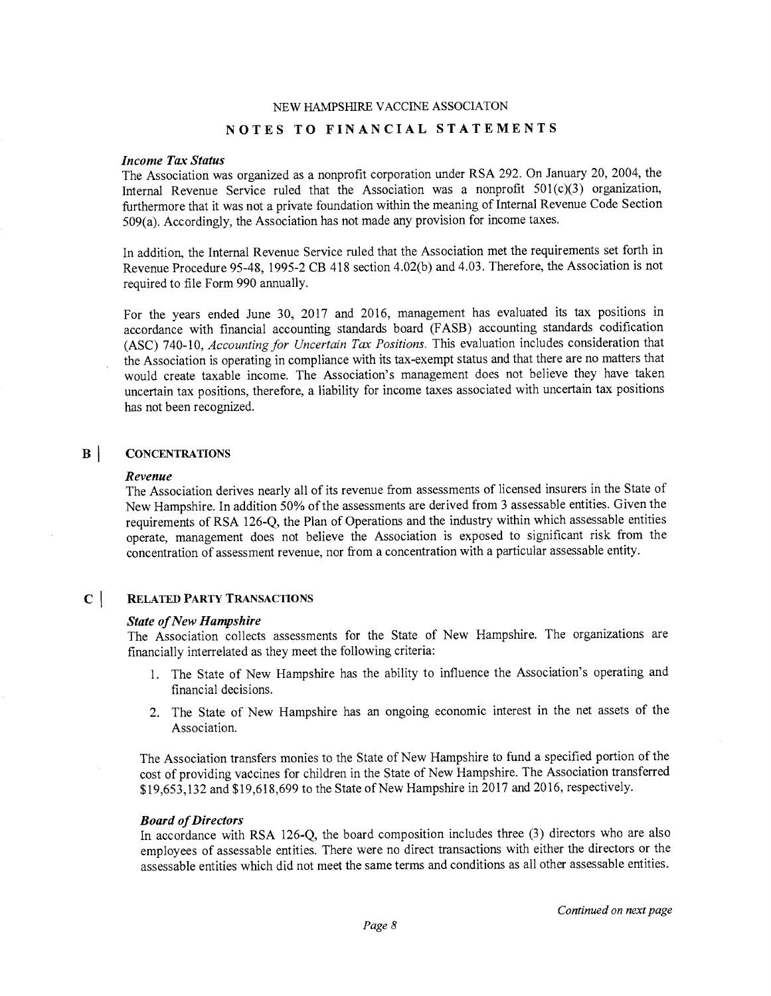## Income Tax Status

The Association was organized as a nonprofit corporation under RSA 292. On January 20, 2004, the Internal Revenue Service ruled that the Association was a nonprofit 501(c)(3) organization, furthermore that it was not a private foundation within the meaning of Internal Revenue Code Section 509(a). Accordingly, the Association has not made any provision for income taxes.

In addition, the Internal Revenue Service ruled that the Association met the requirements set forth in Revenue Procedure 95-48, 1995-2 CB 418 section 4.02(b) and 4.03. Therefore, the Association is not required to file Form 990 annually.

For the years ended June 30, 2017 and 2016, management has evaluated its tax positions in accordance with financial accounting standards board (FASB) accounting standards codification (ASC) 740-10, Accounting for Uncertain Tax Positions. This evaluation includes consideration that the Association is operating in compliance with its tax-exempt status and that there are no matters that would create taxable income. The Association's management does not believe they have taken uncertain tax positions, therefore, a liability for income taxes associated with uncertain tax positions has not been recognized.

#### $\mathbf{B}$ **CONCENTRATIONS**

#### Revenue

The Association derives nearly all of its revenue from assessments of licensed insurers in the State of New Hampshire. In addition 50% of the assessments are derived from 3 assessable entities. Given the requirements of RSA 126-Q, the Plan of Operations and the industry within which assessable entities operate, management does not believe the Association is exposed to significant risk from the concentration of assessment revenue, nor fiom a concentration with a particular assessable entity.

#### $\mathbf{C}$ RELATED PARTY TRANSACTIONS

#### State of New Hampshire

The Association collects assessments for the State of New Hampshire. The organizations are financially interrelated as they meet the following criteria:

- 1. The State of New Hampshire has the ability to influence the Association's operating and financial decisions.
- 2. The State of New Hampshire has an ongoing economic interest in the net assets of the Association.

The Association transfers monies to the State of New Hampshire to fund a specified portion of the cost of providing vaccines for children in the State of New Hampshire. The Association transferred \$19,653,132 and \$19,618,699 to the State of New Hampshire in 2017 and 2016, respectively.

#### Board of Directors

In accordance with RSA 126-Q, the board composition includes three (3) directors who are also employees of assessable entities. There were no direct transactions with either the directors or the assessable entities which did not meet the same terms and conditions as all other assessable entities.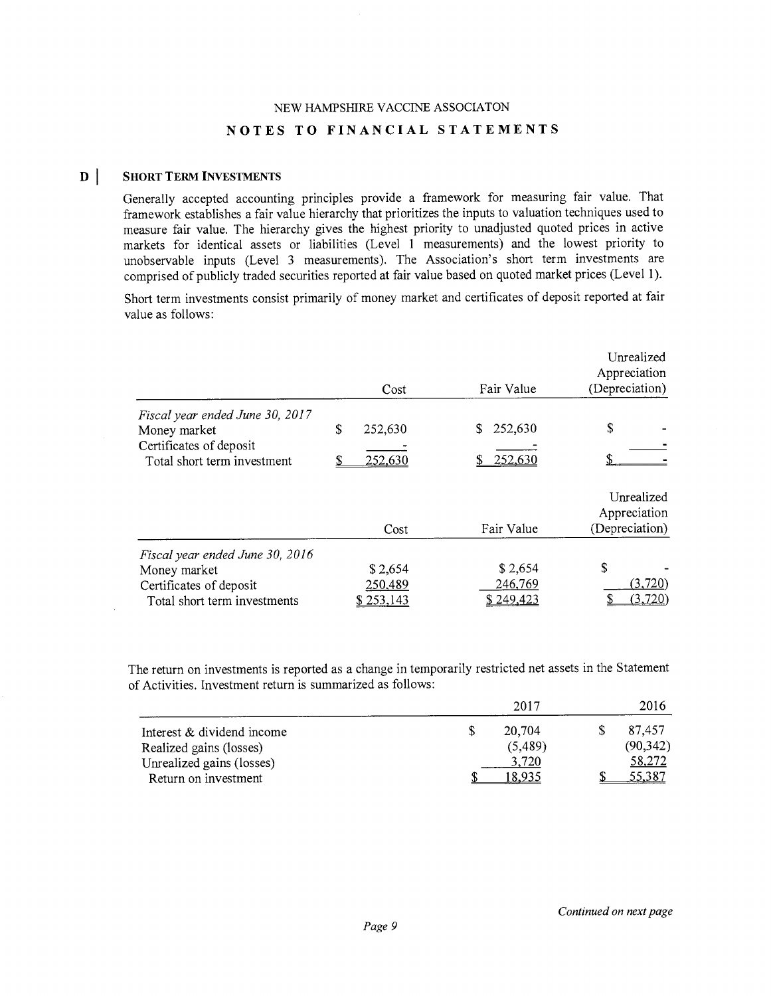#### $\mathbf{D}$ SHORT TERM INVESTMENTS

 $\bar{\Delta}$ 

Generally accepted accounting principles provide a framework for measuring fair value. That framework establishes a fair value hierarchy that prioritizes the inputs to valuation techniques used to measure fair value. The hierarchy gives the highest priority to unadjusted quoted prices in active markets for identical assets or liabilities (Level 1 measurements) and the lowest priority to unobservable inputs (Level 3 measurements). The Association's short term investments are comprised of publicly traded securities reported at fair value based on quoted market prices (Level 1).

Short term investments consist primarily of money market and certificates of deposit reported at fair value as follows:

|                                                                                                            | Cost                            | Fair Value                       | Unrealized<br>Appreciation<br>(Depreciation) |
|------------------------------------------------------------------------------------------------------------|---------------------------------|----------------------------------|----------------------------------------------|
| Fiscal year ended June 30, 2017<br>Money market<br>Certificates of deposit<br>Total short term investment  | \$<br>252,630<br>252,630<br>S   | 252,630<br>S<br>252,630          | \$                                           |
|                                                                                                            | Cost                            | Fair Value                       | Unrealized<br>Appreciation<br>(Depreciation) |
| Fiscal year ended June 30, 2016<br>Money market<br>Certificates of deposit<br>Total short term investments | \$2,654<br>250,489<br>\$253,143 | \$2,654<br>246,769<br>\$ 249.423 | \$<br>(3,720)<br>(3.720)                     |

The return on investments is reported as a change in temporarily restricted net assets in the Statement of Activities. Investment return is summarized as follows:

|                            |   | 2017    | 2016      |
|----------------------------|---|---------|-----------|
| Interest & dividend income | S | 20.704  | 87.457    |
| Realized gains (losses)    |   | (5,489) | (90, 342) |
| Unrealized gains (losses)  |   | 3,720   | 58,272    |
| Return on investment       |   |         | 5.387     |